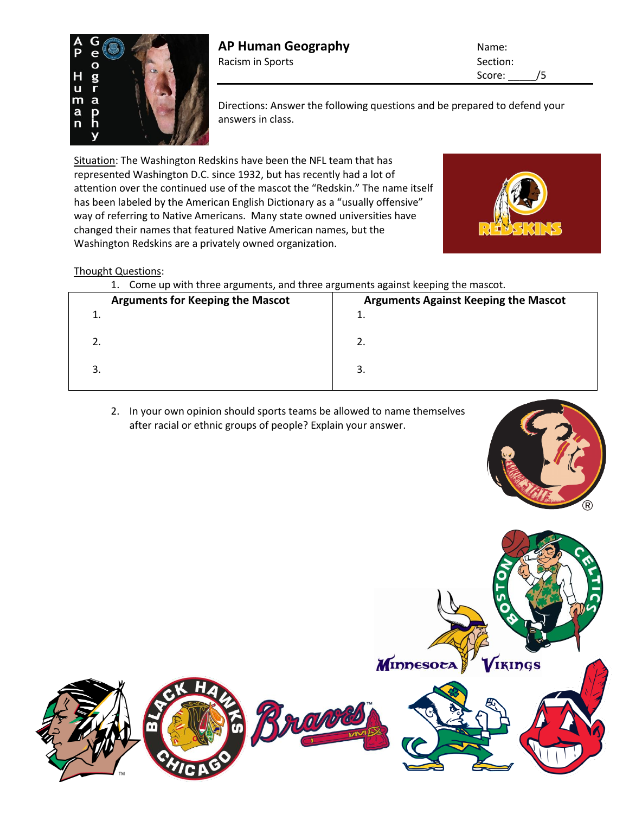

Score: /5

Directions: Answer the following questions and be prepared to defend your answers in class.

Situation: The Washington Redskins have been the NFL team that has represented Washington D.C. since 1932, but has recently had a lot of attention over the continued use of the mascot the "Redskin." The name itself has been labeled by the American English Dictionary as a "usually offensive" way of referring to Native Americans. Many state owned universities have changed their names that featured Native American names, but the Washington Redskins are a privately owned organization.



## Thought Questions:

1. Come up with three arguments, and three arguments against keeping the mascot.

| <b>Arguments for Keeping the Mascot</b> | <b>Arguments Against Keeping the Mascot</b> |
|-----------------------------------------|---------------------------------------------|
| a 1919 d                                | ᆠ.                                          |
|                                         | L.                                          |
|                                         | 3.                                          |

2. In your own opinion should sports teams be allowed to name themselves after racial or ethnic groups of people? Explain your answer.